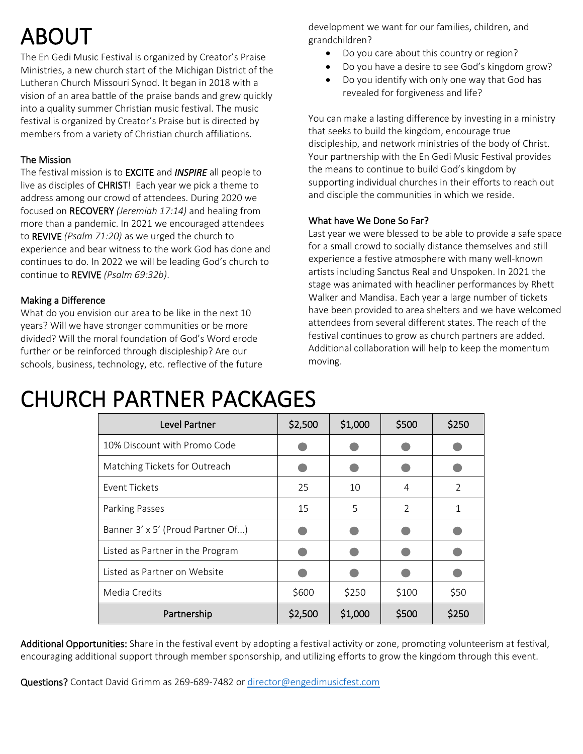## ABOUT

The En Gedi Music Festival is organized by Creator's Praise Ministries, a new church start of the Michigan District of the Lutheran Church Missouri Synod. It began in 2018 with a vision of an area battle of the praise bands and grew quickly into a quality summer Christian music festival. The music festival is organized by Creator's Praise but is directed by members from a variety of Christian church affiliations.

#### The Mission

The festival mission is to EXCITE and *INSPIRE* all people to live as disciples of **CHRIST!** Each year we pick a theme to address among our crowd of attendees. During 2020 we focused on RECOVERY *(Jeremiah 17:14)* and healing from more than a pandemic. In 2021 we encouraged attendees to REVIVE *(Psalm 71:20)* as we urged the church to experience and bear witness to the work God has done and continues to do. In 2022 we will be leading God's church to continue to REVIVE *(Psalm 69:32b)*.

#### Making a Difference

What do you envision our area to be like in the next 10 years? Will we have stronger communities or be more divided? Will the moral foundation of God's Word erode further or be reinforced through discipleship? Are our schools, business, technology, etc. reflective of the future development we want for our families, children, and grandchildren?

- Do you care about this country or region?
- Do you have a desire to see God's kingdom grow?
- Do you identify with only one way that God has revealed for forgiveness and life?

You can make a lasting difference by investing in a ministry that seeks to build the kingdom, encourage true discipleship, and network ministries of the body of Christ. Your partnership with the En Gedi Music Festival provides the means to continue to build God's kingdom by supporting individual churches in their efforts to reach out and disciple the communities in which we reside.

#### What have We Done So Far?

Last year we were blessed to be able to provide a safe space for a small crowd to socially distance themselves and still experience a festive atmosphere with many well-known artists including Sanctus Real and Unspoken. In 2021 the stage was animated with headliner performances by Rhett Walker and Mandisa. Each year a large number of tickets have been provided to area shelters and we have welcomed attendees from several different states. The reach of the festival continues to grow as church partners are added. Additional collaboration will help to keep the momentum moving.

### CHURCH PARTNER PACKAGES

| Level Partner                     | \$2,500 | \$1,000 | \$500 | \$250 |
|-----------------------------------|---------|---------|-------|-------|
| 10% Discount with Promo Code      |         |         |       |       |
| Matching Tickets for Outreach     |         |         |       |       |
| Event Tickets                     | 25      | 10      | 4     | 2     |
| Parking Passes                    | 15      | 5       | 2     | 1     |
| Banner 3' x 5' (Proud Partner Of) |         |         |       |       |
| Listed as Partner in the Program  |         |         |       |       |
| Listed as Partner on Website      |         |         |       |       |
| Media Credits                     | \$600   | \$250   | \$100 | \$50  |
| Partnership                       | \$2,500 | \$1,000 | \$500 | \$250 |

Additional Opportunities: Share in the festival event by adopting a festival activity or zone, promoting volunteerism at festival, encouraging additional support through member sponsorship, and utilizing efforts to grow the kingdom through this event.

Questions? Contact David Grimm as 269-689-7482 or [director@engedimusicfest.com](mailto:director@engedimusicfest.com)